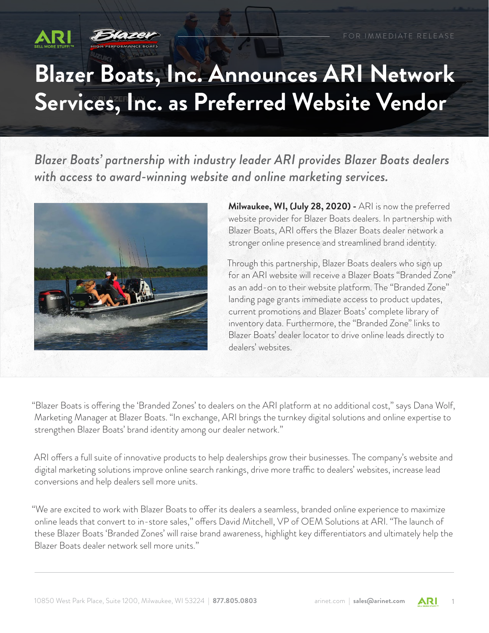

## **Blazer Boats, Inc. Announces ARI Network Services, Inc. as Preferred Website Vendor**

*Blazer Boats' partnership with industry leader ARI provides Blazer Boats dealers with access to award-winning website and online marketing services.*



**Milwaukee, WI, (July 28, 2020) -** ARI is now the preferred website provider for Blazer Boats dealers. In partnership with Blazer Boats, ARI offers the Blazer Boats dealer network a stronger online presence and streamlined brand identity.

Through this partnership, Blazer Boats dealers who sign up for an ARI website will receive a Blazer Boats "Branded Zone" as an add-on to their website platform. The "Branded Zone" landing page grants immediate access to product updates, current promotions and Blazer Boats' complete library of inventory data. Furthermore, the "Branded Zone" links to Blazer Boats' dealer locator to drive online leads directly to dealers' websites.

"Blazer Boats is offering the 'Branded Zones' to dealers on the ARI platform at no additional cost," says Dana Wolf, Marketing Manager at Blazer Boats. "In exchange, ARI brings the turnkey digital solutions and online expertise to strengthen Blazer Boats' brand identity among our dealer network."

ARI offers a full suite of innovative products to help dealerships grow their businesses. The company's website and digital marketing solutions improve online search rankings, drive more traffic to dealers' websites, increase lead conversions and help dealers sell more units.

"We are excited to work with Blazer Boats to offer its dealers a seamless, branded online experience to maximize online leads that convert to in-store sales," offers David Mitchell, VP of OEM Solutions at ARI. "The launch of these Blazer Boats 'Branded Zones' will raise brand awareness, highlight key differentiators and ultimately help the Blazer Boats dealer network sell more units."